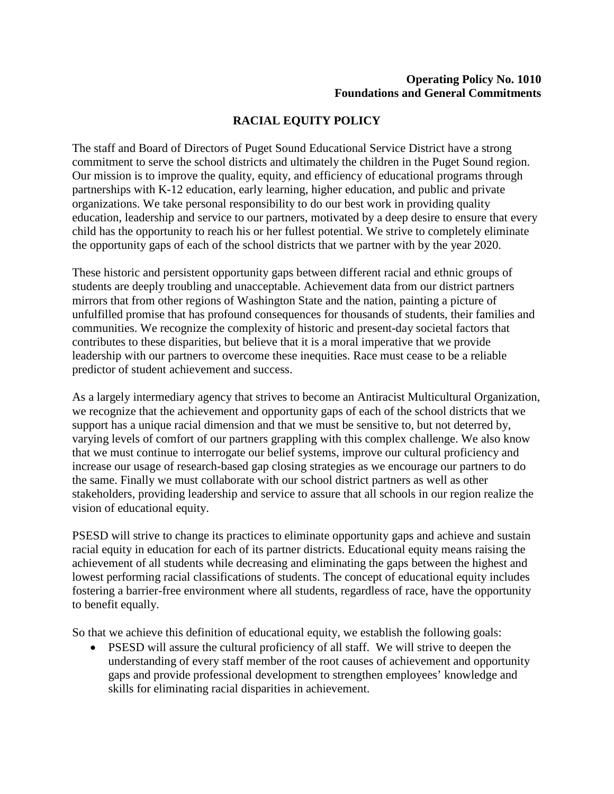## **Operating Policy No. 1010 Foundations and General Commitments**

## **RACIAL EQUITY POLICY**

 the opportunity gaps of each of the school districts that we partner with by the year 2020. The staff and Board of Directors of Puget Sound Educational Service District have a strong commitment to serve the school districts and ultimately the children in the Puget Sound region. Our mission is to improve the quality, equity, and efficiency of educational programs through partnerships with K-12 education, early learning, higher education, and public and private organizations. We take personal responsibility to do our best work in providing quality education, leadership and service to our partners, motivated by a deep desire to ensure that every child has the opportunity to reach his or her fullest potential. We strive to completely eliminate

These historic and persistent opportunity gaps between different racial and ethnic groups of students are deeply troubling and unacceptable. Achievement data from our district partners mirrors that from other regions of Washington State and the nation, painting a picture of unfulfilled promise that has profound consequences for thousands of students, their families and communities. We recognize the complexity of historic and present-day societal factors that contributes to these disparities, but believe that it is a moral imperative that we provide leadership with our partners to overcome these inequities. Race must cease to be a reliable predictor of student achievement and success.

 varying levels of comfort of our partners grappling with this complex challenge. We also know As a largely intermediary agency that strives to become an Antiracist Multicultural Organization, we recognize that the achievement and opportunity gaps of each of the school districts that we support has a unique racial dimension and that we must be sensitive to, but not deterred by, that we must continue to interrogate our belief systems, improve our cultural proficiency and increase our usage of research-based gap closing strategies as we encourage our partners to do the same. Finally we must collaborate with our school district partners as well as other stakeholders, providing leadership and service to assure that all schools in our region realize the vision of educational equity.

PSESD will strive to change its practices to eliminate opportunity gaps and achieve and sustain racial equity in education for each of its partner districts. Educational equity means raising the achievement of all students while decreasing and eliminating the gaps between the highest and lowest performing racial classifications of students. The concept of educational equity includes fostering a barrier-free environment where all students, regardless of race, have the opportunity to benefit equally.

So that we achieve this definition of educational equity, we establish the following goals:

• PSESD will assure the cultural proficiency of all staff. We will strive to deepen the understanding of every staff member of the root causes of achievement and opportunity gaps and provide professional development to strengthen employees' knowledge and skills for eliminating racial disparities in achievement.